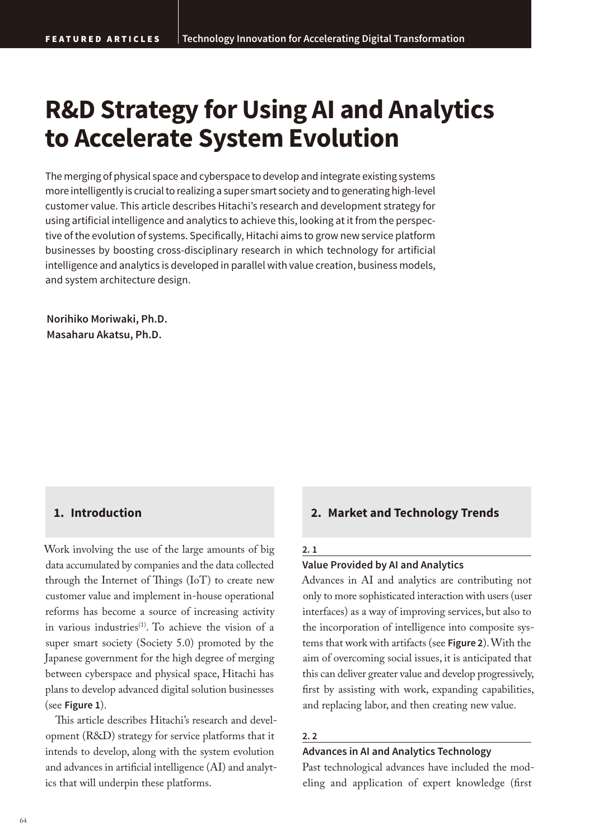# **R&D Strategy for Using AI and Analytics to Accelerate System Evolution**

The merging of physical space and cyberspace to develop and integrate existing systems more intelligently is crucial to realizing a super smart society and to generating high-level customer value. This article describes Hitachi's research and development strategy for using artificial intelligence and analytics to achieve this, looking at it from the perspective of the evolution of systems. Specifically, Hitachi aims to grow new service platform businesses by boosting cross-disciplinary research in which technology for artificial intelligence and analytics is developed in parallel with value creation, business models, and system architecture design.

**Norihiko Moriwaki, Ph.D. Masaharu Akatsu, Ph.D.**

# **1. Introduction**

Work involving the use of the large amounts of big data accumulated by companies and the data collected through the Internet of Things (IoT) to create new customer value and implement in-house operational reforms has become a source of increasing activity in various industries<sup>(1)</sup>. To achieve the vision of a super smart society (Society 5.0) promoted by the Japanese government for the high degree of merging between cyberspace and physical space, Hitachi has plans to develop advanced digital solution businesses (see **Figure 1**).

This article describes Hitachi's research and development (R&D) strategy for service platforms that it intends to develop, along with the system evolution and advances in artificial intelligence (AI) and analytics that will underpin these platforms.

# **2. Market and Technology Trends**

### **2. 1**

### **Value Provided by AI and Analytics**

Advances in AI and analytics are contributing not only to more sophisticated interaction with users (user interfaces) as a way of improving services, but also to the incorporation of intelligence into composite systems that work with artifacts (see **Figure 2**). With the aim of overcoming social issues, it is anticipated that this can deliver greater value and develop progressively, first by assisting with work, expanding capabilities, and replacing labor, and then creating new value.

### **2. 2**

# **Advances in AI and Analytics Technology**

Past technological advances have included the modeling and application of expert knowledge (first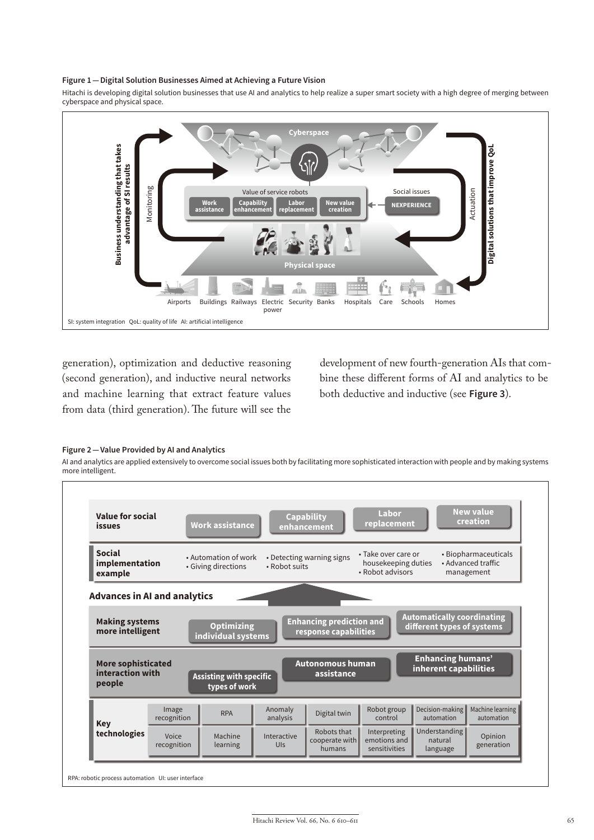#### **Figure 1—Digital Solution Businesses Aimed at Achieving a Future Vision**

Hitachi is developing digital solution businesses that use AI and analytics to help realize a super smart society with a high degree of merging between cyberspace and physical space.



generation), optimization and deductive reasoning (second generation), and inductive neural networks and machine learning that extract feature values from data (third generation). The future will see the

development of new fourth-generation AIs that combine these different forms of AI and analytics to be both deductive and inductive (see **Figure 3**).

#### **Figure 2—Value Provided by AI and Analytics**

AI and analytics are applied extensively to overcome social issues both by facilitating more sophisticated interaction with people and by making systems more intelligent.

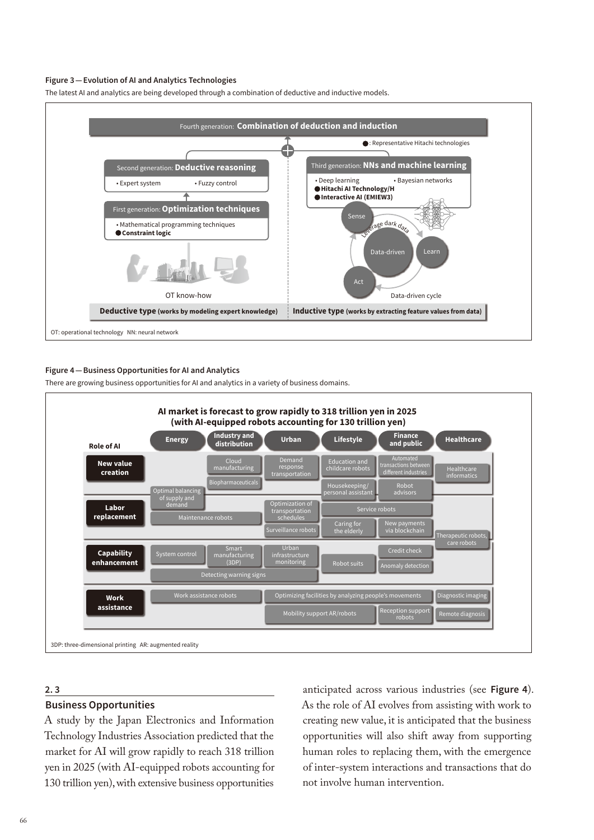#### **Figure 3—Evolution of AI and Analytics Technologies**





#### **Figure 4—Business Opportunities for AI and Analytics**

There are growing business opportunities for AI and analytics in a variety of business domains.



### **2. 3**

### **Business Opportunities**

A study by the Japan Electronics and Information Technology Industries Association predicted that the market for AI will grow rapidly to reach 318 trillion yen in 2025 (with AI-equipped robots accounting for 130 trillion yen), with extensive business opportunities

anticipated across various industries (see **Figure 4**). As the role of AI evolves from assisting with work to creating new value, it is anticipated that the business opportunities will also shift away from supporting human roles to replacing them, with the emergence of inter-system interactions and transactions that do not involve human intervention.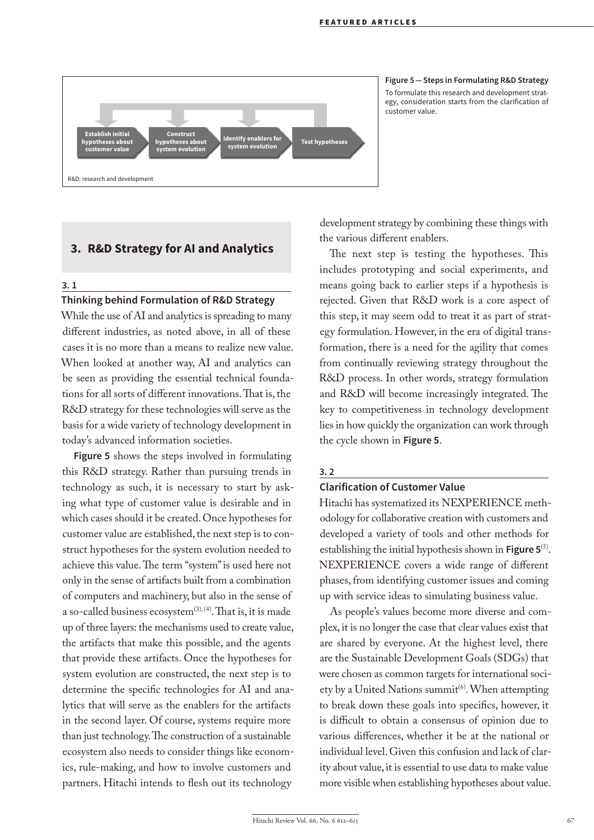

**Figure 5—Steps in Formulating R&D Strategy** To formulate this research and development strategy, consideration starts from the clarification of customer value.

# **3. R&D Strategy for AI and Analytics**

#### **3. 1**

# **Thinking behind Formulation of R&D Strategy**

While the use of AI and analytics is spreading to many different industries, as noted above, in all of these cases it is no more than a means to realize new value. When looked at another way, AI and analytics can be seen as providing the essential technical foundations for all sorts of different innovations. That is, the R&D strategy for these technologies will serve as the basis for a wide variety of technology development in today's advanced information societies.

**Figure 5** shows the steps involved in formulating this R&D strategy. Rather than pursuing trends in technology as such, it is necessary to start by asking what type of customer value is desirable and in which cases should it be created. Once hypotheses for customer value are established, the next step is to construct hypotheses for the system evolution needed to achieve this value. The term "system" is used here not only in the sense of artifacts built from a combination of computers and machinery, but also in the sense of a so-called business ecosystem $(3)$ ,  $(4)$ . That is, it is made up of three layers: the mechanisms used to create value, the artifacts that make this possible, and the agents that provide these artifacts. Once the hypotheses for system evolution are constructed, the next step is to determine the specific technologies for AI and analytics that will serve as the enablers for the artifacts in the second layer. Of course, systems require more than just technology. The construction of a sustainable ecosystem also needs to consider things like economics, rule-making, and how to involve customers and partners. Hitachi intends to flesh out its technology

development strategy by combining these things with the various different enablers.

The next step is testing the hypotheses. This includes prototyping and social experiments, and means going back to earlier steps if a hypothesis is rejected. Given that R&D work is a core aspect of this step, it may seem odd to treat it as part of strategy formulation. However, in the era of digital transformation, there is a need for the agility that comes from continually reviewing strategy throughout the R&D process. In other words, strategy formulation and R&D will become increasingly integrated. The key to competitiveness in technology development lies in how quickly the organization can work through the cycle shown in **Figure 5**.

#### **3. 2**

### **Clarification of Customer Value**

Hitachi has systematized its NEXPERIENCE methodology for collaborative creation with customers and developed a variety of tools and other methods for establishing the initial hypothesis shown in **Figure 5**(5). NEXPERIENCE covers a wide range of different phases, from identifying customer issues and coming up with service ideas to simulating business value.

As people's values become more diverse and complex, it is no longer the case that clear values exist that are shared by everyone. At the highest level, there are the Sustainable Development Goals (SDGs) that were chosen as common targets for international society by a United Nations summit<sup>(6)</sup>. When attempting to break down these goals into specifics, however, it is difficult to obtain a consensus of opinion due to various differences, whether it be at the national or individual level. Given this confusion and lack of clarity about value, it is essential to use data to make value more visible when establishing hypotheses about value.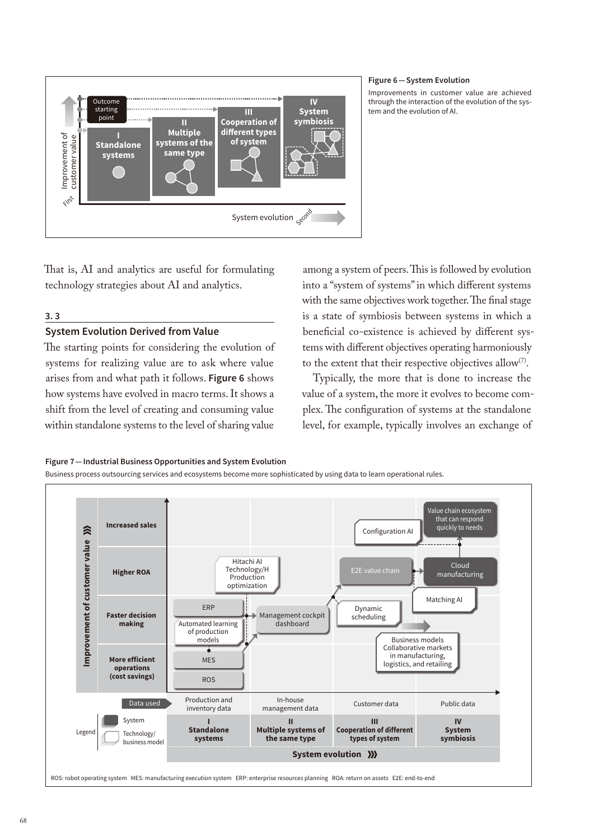

#### **Figure 6—System Evolution**

Improvements in customer value are achieved through the interaction of the evolution of the system and the evolution of AI.

That is, AI and analytics are useful for formulating technology strategies about AI and analytics.

# **3. 3**

# **System Evolution Derived from Value**

The starting points for considering the evolution of systems for realizing value are to ask where value arises from and what path it follows. **Figure 6** shows how systems have evolved in macro terms. It shows a shift from the level of creating and consuming value within standalone systems to the level of sharing value

among a system of peers. This is followed by evolution into a "system of systems" in which different systems with the same objectives work together. The final stage is a state of symbiosis between systems in which a beneficial co-existence is achieved by different systems with different objectives operating harmoniously to the extent that their respective objectives allow(7).

Typically, the more that is done to increase the value of a system, the more it evolves to become complex. The configuration of systems at the standalone level, for example, typically involves an exchange of

#### **Figure 7—Industrial Business Opportunities and System Evolution**

Business process outsourcing services and ecosystems become more sophisticated by using data to learn operational rules.

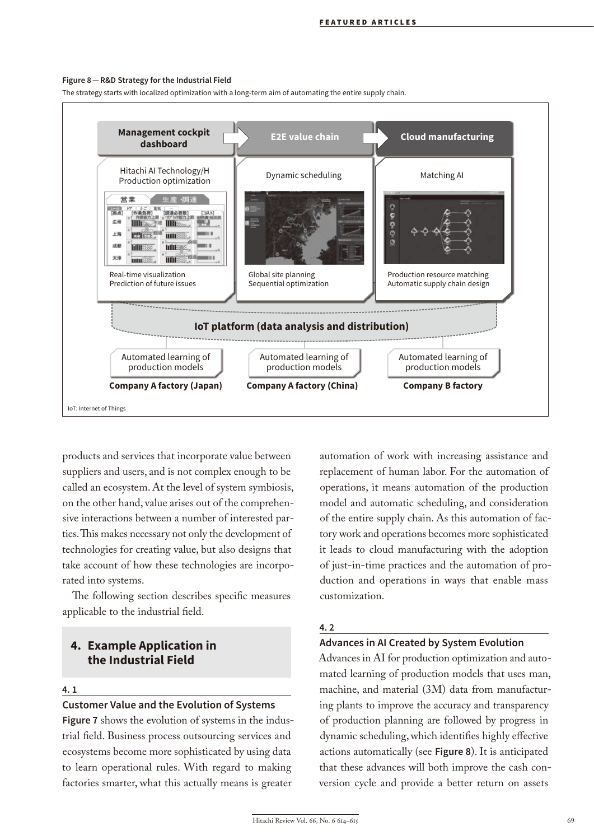#### **Figure 8—R&D Strategy for the Industrial Field**

The strategy starts with localized optimization with a long-term aim of automating the entire supply chain.



products and services that incorporate value between suppliers and users, and is not complex enough to be called an ecosystem. At the level of system symbiosis, on the other hand, value arises out of the comprehensive interactions between a number of interested parties. This makes necessary not only the development of technologies for creating value, but also designs that take account of how these technologies are incorporated into systems.

The following section describes specific measures applicable to the industrial field.

# **4. Example Application in the Industrial Field**

#### **4. 1**

# **Customer Value and the Evolution of Systems**

**Figure 7** shows the evolution of systems in the industrial field. Business process outsourcing services and ecosystems become more sophisticated by using data to learn operational rules. With regard to making factories smarter, what this actually means is greater

automation of work with increasing assistance and replacement of human labor. For the automation of operations, it means automation of the production model and automatic scheduling, and consideration of the entire supply chain. As this automation of factory work and operations becomes more sophisticated it leads to cloud manufacturing with the adoption of just-in-time practices and the automation of production and operations in ways that enable mass customization.

### **4. 2**

# **Advances in AI Created by System Evolution**

Advances in AI for production optimization and automated learning of production models that uses man, machine, and material (3M) data from manufacturing plants to improve the accuracy and transparency of production planning are followed by progress in dynamic scheduling, which identifies highly effective actions automatically (see **Figure 8**). It is anticipated that these advances will both improve the cash conversion cycle and provide a better return on assets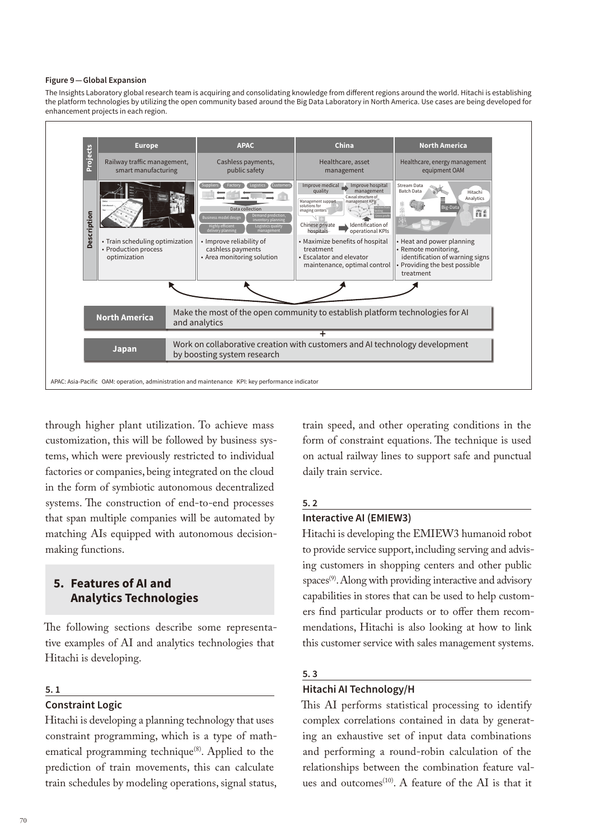#### **Figure 9—Global Expansion**

The Insights Laboratory global research team is acquiring and consolidating knowledge from different regions around the world. Hitachi is establishing the platform technologies by utilizing the open community based around the Big Data Laboratory in North America. Use cases are being developed for enhancement projects in each region.



through higher plant utilization. To achieve mass customization, this will be followed by business systems, which were previously restricted to individual factories or companies, being integrated on the cloud in the form of symbiotic autonomous decentralized systems. The construction of end-to-end processes that span multiple companies will be automated by matching AIs equipped with autonomous decisionmaking functions.

# **5. Features of AI and Analytics Technologies**

The following sections describe some representative examples of AI and analytics technologies that Hitachi is developing.

### **5. 1**

# **Constraint Logic**

Hitachi is developing a planning technology that uses constraint programming, which is a type of mathematical programming technique<sup>(8)</sup>. Applied to the prediction of train movements, this can calculate

train speed, and other operating conditions in the form of constraint equations. The technique is used on actual railway lines to support safe and punctual daily train service.

### **5. 2**

### **Interactive AI (EMIEW3)**

Hitachi is developing the EMIEW3 humanoid robot to provide service support, including serving and advising customers in shopping centers and other public spaces<sup>(9)</sup>. Along with providing interactive and advisory capabilities in stores that can be used to help customers find particular products or to offer them recommendations, Hitachi is also looking at how to link this customer service with sales management systems.

# **5. 3**

# **Hitachi AI Technology/H**

This AI performs statistical processing to identify complex correlations contained in data by generating an exhaustive set of input data combinations and performing a round-robin calculation of the relationships between the combination feature values and outcomes<sup>(10)</sup>. A feature of the AI is that it